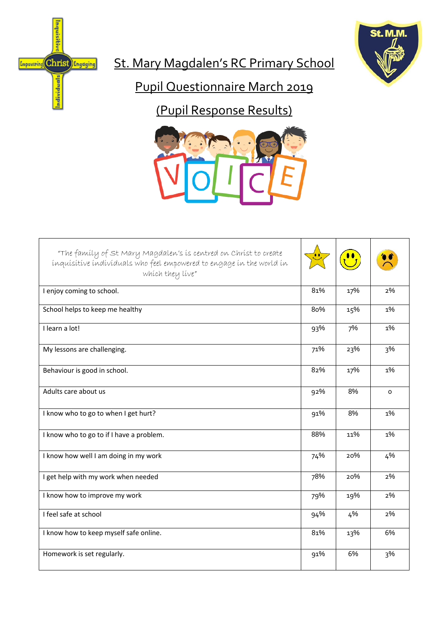

St. Mary Magdalen's RC Primary School

Inquisitive

**Empowering** Christ Linguaging

ndividuals

# Pupil Questionnaire March 2019

(Pupil Response Results)



| "The family of St Mary Magdalen's is centred on Christ to create<br>inquisitive individuals who feel empowered to engage in the world in<br>which they live" |     |     |          |
|--------------------------------------------------------------------------------------------------------------------------------------------------------------|-----|-----|----------|
| I enjoy coming to school.                                                                                                                                    | 81% | 17% | 2%       |
| School helps to keep me healthy                                                                                                                              | 80% | 15% | 1%       |
| I learn a lot!                                                                                                                                               | 93% | 7%  | 1%       |
| My lessons are challenging.                                                                                                                                  | 71% | 23% | 3%       |
| Behaviour is good in school.                                                                                                                                 | 82% | 17% | 1%       |
| Adults care about us                                                                                                                                         | 92% | 8%  | $\Omega$ |
| I know who to go to when I get hurt?                                                                                                                         | 91% | 8%  | 1%       |
| I know who to go to if I have a problem.                                                                                                                     | 88% | 11% | 1%       |
| I know how well I am doing in my work                                                                                                                        | 74% | 20% | 4%       |
| I get help with my work when needed                                                                                                                          | 78% | 20% | 2%       |
| I know how to improve my work                                                                                                                                | 79% | 19% | 2%       |
| I feel safe at school                                                                                                                                        | 94% | 4%  | 2%       |
| I know how to keep myself safe online.                                                                                                                       | 81% | 13% | 6%       |
| Homework is set regularly.                                                                                                                                   | 91% | 6%  | 3%       |